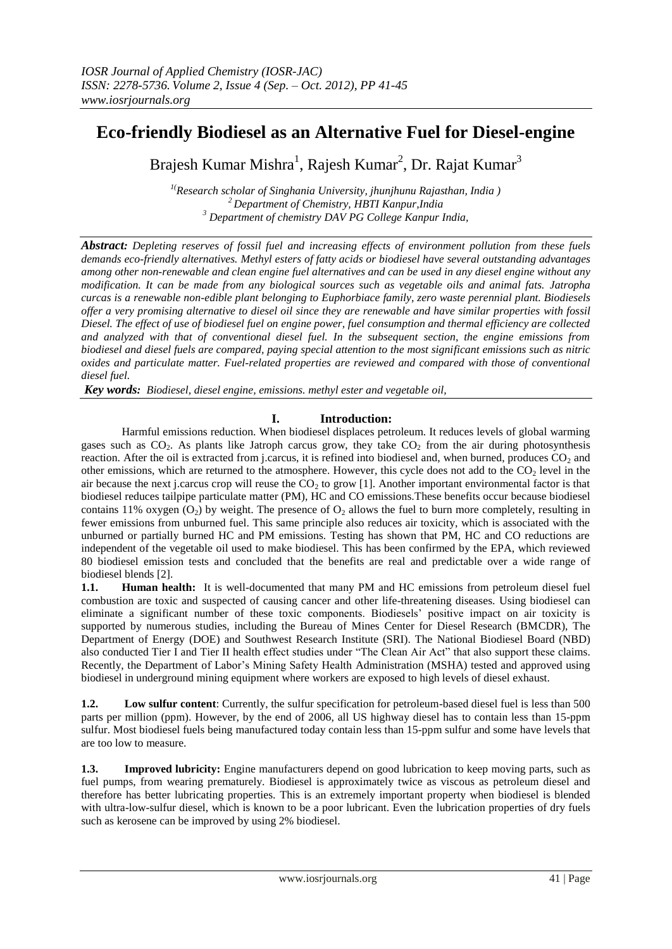# **Eco-friendly Biodiesel as an Alternative Fuel for Diesel-engine**

Brajesh Kumar Mishra<sup>1</sup>, Rajesh Kumar<sup>2</sup>, Dr. Rajat Kumar<sup>3</sup>

*1(Research scholar of Singhania University, jhunjhunu Rajasthan, India ) <sup>2</sup>Department of Chemistry, HBTI Kanpur,India <sup>3</sup> Department of chemistry DAV PG College Kanpur India,*

*Abstract: Depleting reserves of fossil fuel and increasing effects of environment pollution from these fuels demands eco-friendly alternatives. Methyl esters of fatty acids or biodiesel have several outstanding advantages among other non-renewable and clean engine fuel alternatives and can be used in any diesel engine without any modification. It can be made from any biological sources such as vegetable oils and animal fats. Jatropha curcas is a renewable non-edible plant belonging to Euphorbiace family, zero waste perennial plant. Biodiesels offer a very promising alternative to diesel oil since they are renewable and have similar properties with fossil Diesel. The effect of use of biodiesel fuel on engine power, fuel consumption and thermal efficiency are collected and analyzed with that of conventional diesel fuel. In the subsequent section, the engine emissions from biodiesel and diesel fuels are compared, paying special attention to the most significant emissions such as nitric oxides and particulate matter. Fuel-related properties are reviewed and compared with those of conventional diesel fuel.*

*Key words: Biodiesel, diesel engine, emissions. methyl ester and vegetable oil,* 

# **I. Introduction:**

 Harmful emissions reduction. When biodiesel displaces petroleum. It reduces levels of global warming gases such as  $CO<sub>2</sub>$ . As plants like Jatroph carcus grow, they take  $CO<sub>2</sub>$  from the air during photosynthesis reaction. After the oil is extracted from j.carcus, it is refined into biodiesel and, when burned, produces  $CO<sub>2</sub>$  and other emissions, which are returned to the atmosphere. However, this cycle does not add to the  $CO<sub>2</sub>$  level in the air because the next j.carcus crop will reuse the  $CO<sub>2</sub>$  to grow [1]. Another important environmental factor is that biodiesel reduces tailpipe particulate matter (PM), HC and CO emissions.These benefits occur because biodiesel contains 11% oxygen  $(O_2)$  by weight. The presence of  $O_2$  allows the fuel to burn more completely, resulting in fewer emissions from unburned fuel. This same principle also reduces air toxicity, which is associated with the unburned or partially burned HC and PM emissions. Testing has shown that PM, HC and CO reductions are independent of the vegetable oil used to make biodiesel. This has been confirmed by the EPA, which reviewed 80 biodiesel emission tests and concluded that the benefits are real and predictable over a wide range of biodiesel blends [2].

**1.1. Human health:** It is well-documented that many PM and HC emissions from petroleum diesel fuel combustion are toxic and suspected of causing cancer and other life-threatening diseases. Using biodiesel can eliminate a significant number of these toxic components. Biodiesels' positive impact on air toxicity is supported by numerous studies, including the Bureau of Mines Center for Diesel Research (BMCDR), The Department of Energy (DOE) and Southwest Research Institute (SRI). The National Biodiesel Board (NBD) also conducted Tier I and Tier II health effect studies under "The Clean Air Act" that also support these claims. Recently, the Department of Labor's Mining Safety Health Administration (MSHA) tested and approved using biodiesel in underground mining equipment where workers are exposed to high levels of diesel exhaust.

**1.2. Low sulfur content**: Currently, the sulfur specification for petroleum-based diesel fuel is less than 500 parts per million (ppm). However, by the end of 2006, all US highway diesel has to contain less than 15-ppm sulfur. Most biodiesel fuels being manufactured today contain less than 15-ppm sulfur and some have levels that are too low to measure.

**1.3. Improved lubricity:** Engine manufacturers depend on good lubrication to keep moving parts, such as fuel pumps, from wearing prematurely. Biodiesel is approximately twice as viscous as petroleum diesel and therefore has better lubricating properties. This is an extremely important property when biodiesel is blended with ultra-low-sulfur diesel, which is known to be a poor lubricant. Even the lubrication properties of dry fuels such as kerosene can be improved by using 2% biodiesel.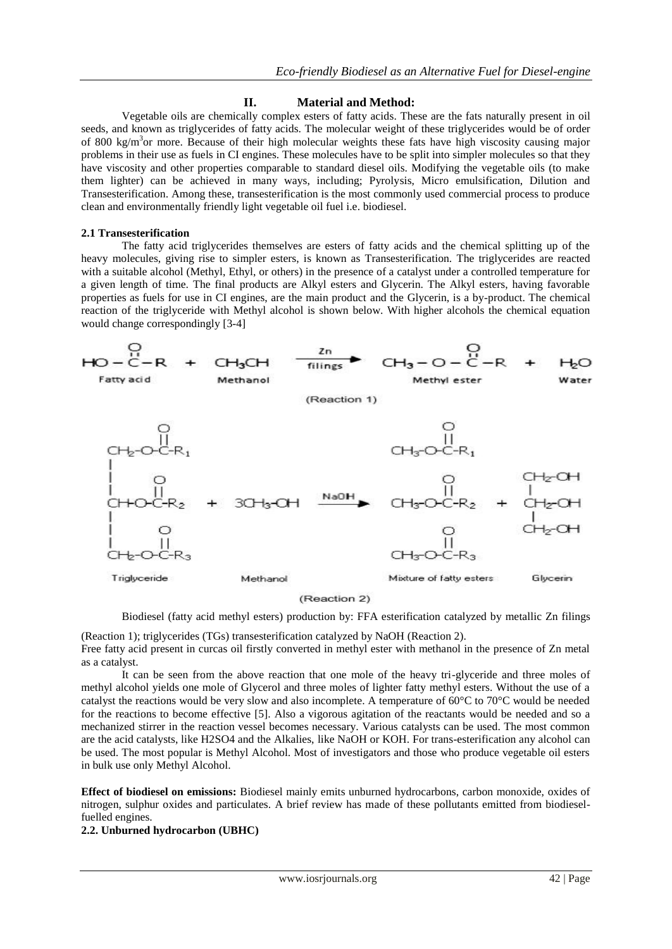# **II. Material and Method:**

 Vegetable oils are chemically complex esters of fatty acids. These are the fats naturally present in oil seeds, and known as triglycerides of fatty acids. The molecular weight of these triglycerides would be of order of 800 kg/m<sup>3</sup>or more. Because of their high molecular weights these fats have high viscosity causing major problems in their use as fuels in CI engines. These molecules have to be split into simpler molecules so that they have viscosity and other properties comparable to standard diesel oils. Modifying the vegetable oils (to make them lighter) can be achieved in many ways, including; Pyrolysis, Micro emulsification, Dilution and Transesterification. Among these, transesterification is the most commonly used commercial process to produce clean and environmentally friendly light vegetable oil fuel i.e. biodiesel.

# **2.1 Transesterification**

 The fatty acid triglycerides themselves are esters of fatty acids and the chemical splitting up of the heavy molecules, giving rise to simpler esters, is known as Transesterification. The triglycerides are reacted with a suitable alcohol (Methyl, Ethyl, or others) in the presence of a catalyst under a controlled temperature for a given length of time. The final products are Alkyl esters and Glycerin. The Alkyl esters, having favorable properties as fuels for use in CI engines, are the main product and the Glycerin, is a by-product. The chemical reaction of the triglyceride with Methyl alcohol is shown below. With higher alcohols the chemical equation would change correspondingly [3-4]



(Reaction 2)

Biodiesel (fatty acid methyl esters) production by: FFA esterification catalyzed by metallic Zn filings

(Reaction 1); triglycerides (TGs) transesterification catalyzed by NaOH (Reaction 2). Free fatty acid present in curcas oil firstly converted in methyl ester with methanol in the presence of Zn metal as a catalyst.

It can be seen from the above reaction that one mole of the heavy tri-glyceride and three moles of methyl alcohol yields one mole of Glycerol and three moles of lighter fatty methyl esters. Without the use of a catalyst the reactions would be very slow and also incomplete. A temperature of 60°C to 70°C would be needed for the reactions to become effective [5]. Also a vigorous agitation of the reactants would be needed and so a mechanized stirrer in the reaction vessel becomes necessary. Various catalysts can be used. The most common are the acid catalysts, like H2SO4 and the Alkalies, like NaOH or KOH. For trans-esterification any alcohol can be used. The most popular is Methyl Alcohol. Most of investigators and those who produce vegetable oil esters in bulk use only Methyl Alcohol.

**Effect of biodiesel on emissions:** Biodiesel mainly emits unburned hydrocarbons, carbon monoxide, oxides of nitrogen, sulphur oxides and particulates. A brief review has made of these pollutants emitted from biodieselfuelled engines.

**2.2. Unburned hydrocarbon (UBHC)**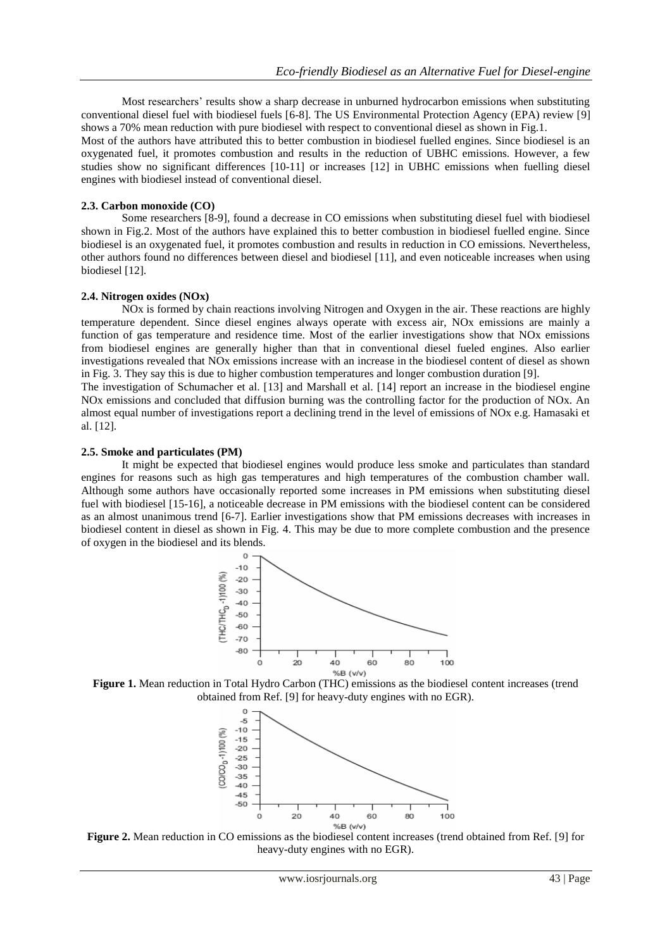Most researchers' results show a sharp decrease in unburned hydrocarbon emissions when substituting conventional diesel fuel with biodiesel fuels [6-8]. The US Environmental Protection Agency (EPA) review [9] shows a 70% mean reduction with pure biodiesel with respect to conventional diesel as shown in Fig.1.

Most of the authors have attributed this to better combustion in biodiesel fuelled engines. Since biodiesel is an oxygenated fuel, it promotes combustion and results in the reduction of UBHC emissions. However, a few studies show no significant differences [10-11] or increases [12] in UBHC emissions when fuelling diesel engines with biodiesel instead of conventional diesel.

## **2.3. Carbon monoxide (CO)**

Some researchers [8-9], found a decrease in CO emissions when substituting diesel fuel with biodiesel shown in Fig.2. Most of the authors have explained this to better combustion in biodiesel fuelled engine. Since biodiesel is an oxygenated fuel, it promotes combustion and results in reduction in CO emissions. Nevertheless, other authors found no differences between diesel and biodiesel [11], and even noticeable increases when using biodiesel [12].

#### **2.4. Nitrogen oxides (NOx)**

NOx is formed by chain reactions involving Nitrogen and Oxygen in the air. These reactions are highly temperature dependent. Since diesel engines always operate with excess air, NOx emissions are mainly a function of gas temperature and residence time. Most of the earlier investigations show that NOx emissions from biodiesel engines are generally higher than that in conventional diesel fueled engines. Also earlier investigations revealed that NOx emissions increase with an increase in the biodiesel content of diesel as shown in Fig. 3. They say this is due to higher combustion temperatures and longer combustion duration [9].

The investigation of Schumacher et al. [13] and Marshall et al. [14] report an increase in the biodiesel engine NOx emissions and concluded that diffusion burning was the controlling factor for the production of NOx. An almost equal number of investigations report a declining trend in the level of emissions of NOx e.g. Hamasaki et al. [12].

#### **2.5. Smoke and particulates (PM)**

It might be expected that biodiesel engines would produce less smoke and particulates than standard engines for reasons such as high gas temperatures and high temperatures of the combustion chamber wall. Although some authors have occasionally reported some increases in PM emissions when substituting diesel fuel with biodiesel [15-16], a noticeable decrease in PM emissions with the biodiesel content can be considered as an almost unanimous trend [6-7]. Earlier investigations show that PM emissions decreases with increases in biodiesel content in diesel as shown in Fig. 4. This may be due to more complete combustion and the presence of oxygen in the biodiesel and its blends.



**Figure 1.** Mean reduction in Total Hydro Carbon (THC) emissions as the biodiesel content increases (trend obtained from Ref. [9] for heavy-duty engines with no EGR).



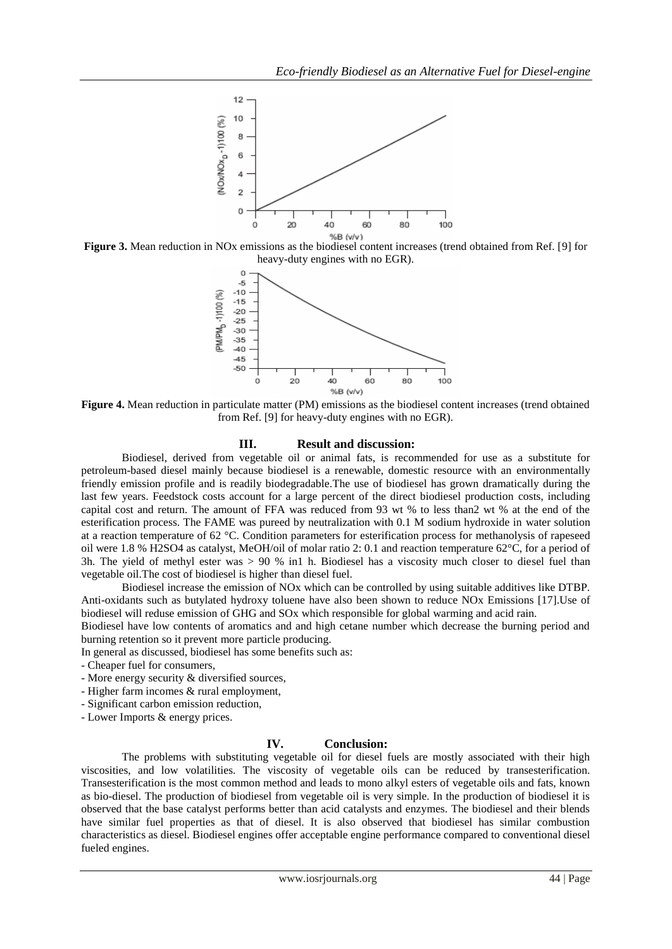

**Figure 3.** Mean reduction in NO<sub>x</sub> emissions as the biodiesel content increases (trend obtained from Ref. [9] for heavy-duty engines with no EGR).



**Figure 4.** Mean reduction in particulate matter (PM) emissions as the biodiesel content increases (trend obtained from Ref. [9] for heavy-duty engines with no EGR).

## **III. Result and discussion:**

Biodiesel, derived from vegetable oil or animal fats, is recommended for use as a substitute for petroleum-based diesel mainly because biodiesel is a renewable, domestic resource with an environmentally friendly emission profile and is readily biodegradable.The use of biodiesel has grown dramatically during the last few years. Feedstock costs account for a large percent of the direct biodiesel production costs, including capital cost and return. The amount of FFA was reduced from 93 wt % to less than2 wt % at the end of the esterification process. The FAME was pureed by neutralization with 0.1 M sodium hydroxide in water solution at a reaction temperature of 62 °C. Condition parameters for esterification process for methanolysis of rapeseed oil were 1.8 % H2SO4 as catalyst, MeOH/oil of molar ratio 2: 0.1 and reaction temperature 62°C, for a period of 3h. The yield of methyl ester was > 90 % in1 h. Biodiesel has a viscosity much closer to diesel fuel than vegetable oil.The cost of biodiesel is higher than diesel fuel.

Biodiesel increase the emission of NOx which can be controlled by using suitable additives like DTBP. Anti-oxidants such as butylated hydroxy toluene have also been shown to reduce NOx Emissions [17].Use of biodiesel will reduse emission of GHG and SOx which responsible for global warming and acid rain.

Biodiesel have low contents of aromatics and and high cetane number which decrease the burning period and burning retention so it prevent more particle producing.

In general as discussed, biodiesel has some benefits such as:

- Cheaper fuel for consumers,

- More energy security & diversified sources,

- Higher farm incomes & rural employment,
- Significant carbon emission reduction,

- Lower Imports & energy prices.

# **IV. Conclusion:**

The problems with substituting vegetable oil for diesel fuels are mostly associated with their high viscosities, and low volatilities. The viscosity of vegetable oils can be reduced by transesterification. Transesterification is the most common method and leads to mono alkyl esters of vegetable oils and fats, known as bio-diesel. The production of biodiesel from vegetable oil is very simple. In the production of biodiesel it is observed that the base catalyst performs better than acid catalysts and enzymes. The biodiesel and their blends have similar fuel properties as that of diesel. It is also observed that biodiesel has similar combustion characteristics as diesel. Biodiesel engines offer acceptable engine performance compared to conventional diesel fueled engines.